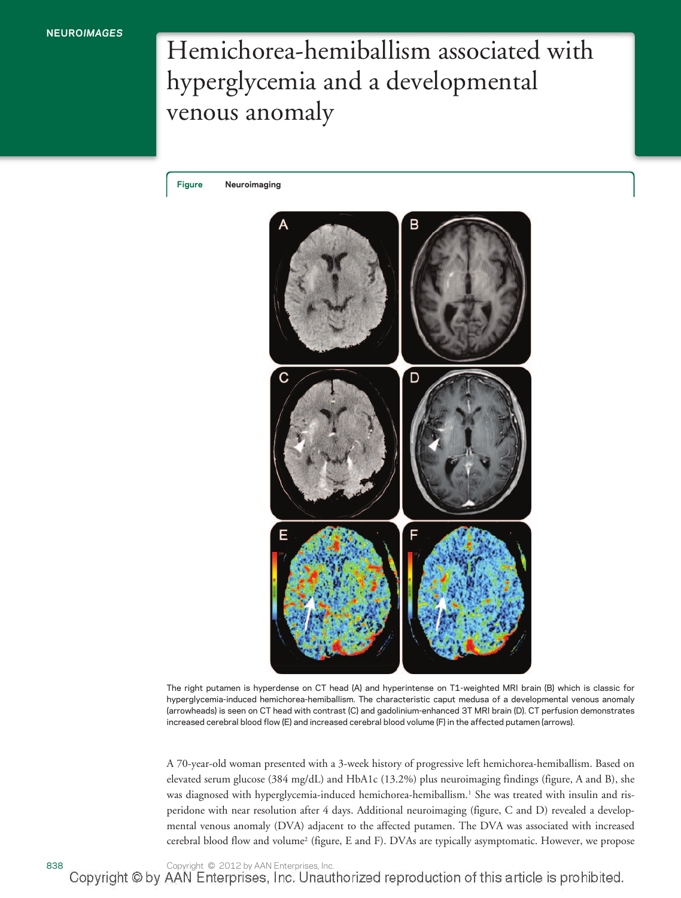Hemichorea-hemiballism associated with hyperglycemia and a developmental venous anomaly

**Figure Neuroimaging**



The right putamen is hyperdense on CT head (A) and hyperintense on T1-weighted MRI brain (B) which is classic for hyperglycemia-induced hemichorea-hemiballism. The characteristic caput medusa of a developmental venous anomaly (arrowheads) is seen on CT head with contrast (C) and gadolinium-enhanced 3T MRI brain (D). CT perfusion demonstrates increased cerebral blood flow (E) and increased cerebral blood volume (F) in the affected putamen (arrows).

A 70-year-old woman presented with a 3-week history of progressive left hemichorea-hemiballism. Based on elevated serum glucose (384 mg/dL) and HbA1c (13.2%) plus neuroimaging findings (figure, A and B), she was diagnosed with hyperglycemia-induced hemichorea-hemiballism.<sup>1</sup> She was treated with insulin and risperidone with near resolution after 4 days. Additional neuroimaging (figure, C and D) revealed a developmental venous anomaly (DVA) adjacent to the affected putamen. The DVA was associated with increased cerebral blood flow and volume2 (figure, E and F). DVAs are typically asymptomatic. However, we propose

838 Copyright © 2012 by AAN Enterprises, Inc.<br>Copyright © by AAN Enterprises, Inc. Unauthorized reproduction of this article is prohibited.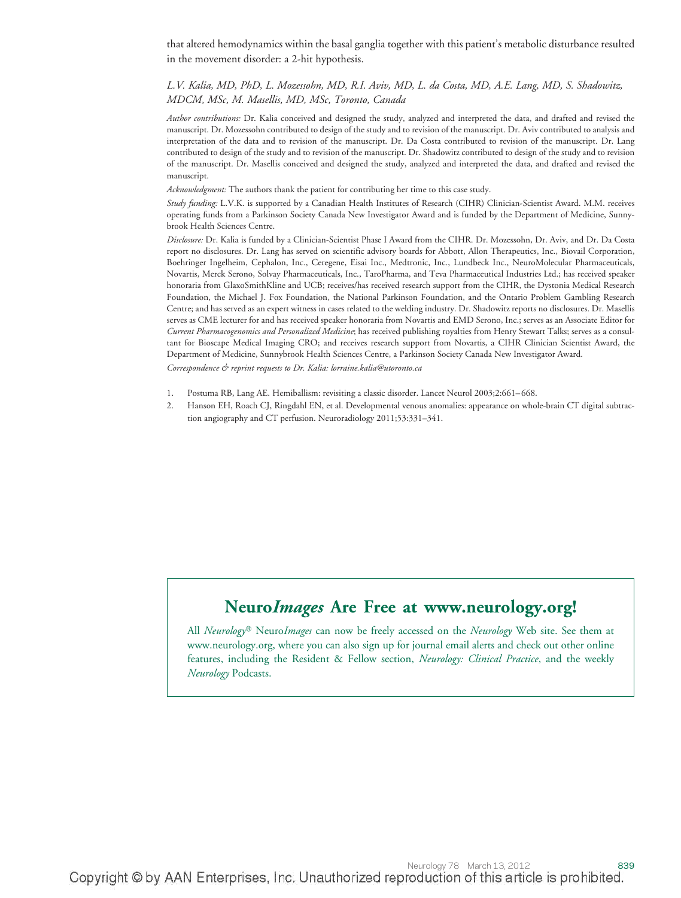that altered hemodynamics within the basal ganglia together with this patient's metabolic disturbance resulted in the movement disorder: a 2-hit hypothesis.

#### *L.V. Kalia, MD, PhD, L. Mozessohn, MD, R.I. Aviv, MD, L. da Costa, MD, A.E. Lang, MD, S. Shadowitz, MDCM, MSc, M. Masellis, MD, MSc, Toronto, Canada*

*Author contributions:* Dr. Kalia conceived and designed the study, analyzed and interpreted the data, and drafted and revised the manuscript. Dr. Mozessohn contributed to design of the study and to revision of the manuscript. Dr. Aviv contributed to analysis and interpretation of the data and to revision of the manuscript. Dr. Da Costa contributed to revision of the manuscript. Dr. Lang contributed to design of the study and to revision of the manuscript. Dr. Shadowitz contributed to design of the study and to revision of the manuscript. Dr. Masellis conceived and designed the study, analyzed and interpreted the data, and drafted and revised the manuscript.

*Acknowledgment:* The authors thank the patient for contributing her time to this case study.

*Study funding:* L.V.K. is supported by a Canadian Health Institutes of Research (CIHR) Clinician-Scientist Award. M.M. receives operating funds from a Parkinson Society Canada New Investigator Award and is funded by the Department of Medicine, Sunnybrook Health Sciences Centre.

*Disclosure:* Dr. Kalia is funded by a Clinician-Scientist Phase I Award from the CIHR. Dr. Mozessohn, Dr. Aviv, and Dr. Da Costa report no disclosures. Dr. Lang has served on scientific advisory boards for Abbott, Allon Therapeutics, Inc., Biovail Corporation, Boehringer Ingelheim, Cephalon, Inc., Ceregene, Eisai Inc., Medtronic, Inc., Lundbeck Inc., NeuroMolecular Pharmaceuticals, Novartis, Merck Serono, Solvay Pharmaceuticals, Inc., TaroPharma, and Teva Pharmaceutical Industries Ltd.; has received speaker honoraria from GlaxoSmithKline and UCB; receives/has received research support from the CIHR, the Dystonia Medical Research Foundation, the Michael J. Fox Foundation, the National Parkinson Foundation, and the Ontario Problem Gambling Research Centre; and has served as an expert witness in cases related to the welding industry. Dr. Shadowitz reports no disclosures. Dr. Masellis serves as CME lecturer for and has received speaker honoraria from Novartis and EMD Serono, Inc.; serves as an Associate Editor for *Current Pharmacogenomics and Personalized Medicine*; has received publishing royalties from Henry Stewart Talks; serves as a consultant for Bioscape Medical Imaging CRO; and receives research support from Novartis, a CIHR Clinician Scientist Award, the Department of Medicine, Sunnybrook Health Sciences Centre, a Parkinson Society Canada New Investigator Award. *Correspondence & reprint requests to Dr. Kalia: lorraine.kalia@utoronto.ca*

1. Postuma RB, Lang AE. Hemiballism: revisiting a classic disorder. Lancet Neurol 2003;2:661– 668.

2. Hanson EH, Roach CJ, Ringdahl EN, et al. Developmental venous anomalies: appearance on whole-brain CT digital subtraction angiography and CT perfusion. Neuroradiology 2011;53:331–341.

## **Neuro***Images* **Are Free at www.neurology.org!**

All *Neurology* Neuro*Images* can now be freely accessed on the *Neurology* Web site. See them at www.neurology.org, where you can also sign up for journal email alerts and check out other online features, including the Resident & Fellow section, *Neurology: Clinical Practice*, and the weekly *Neurology* Podcasts.